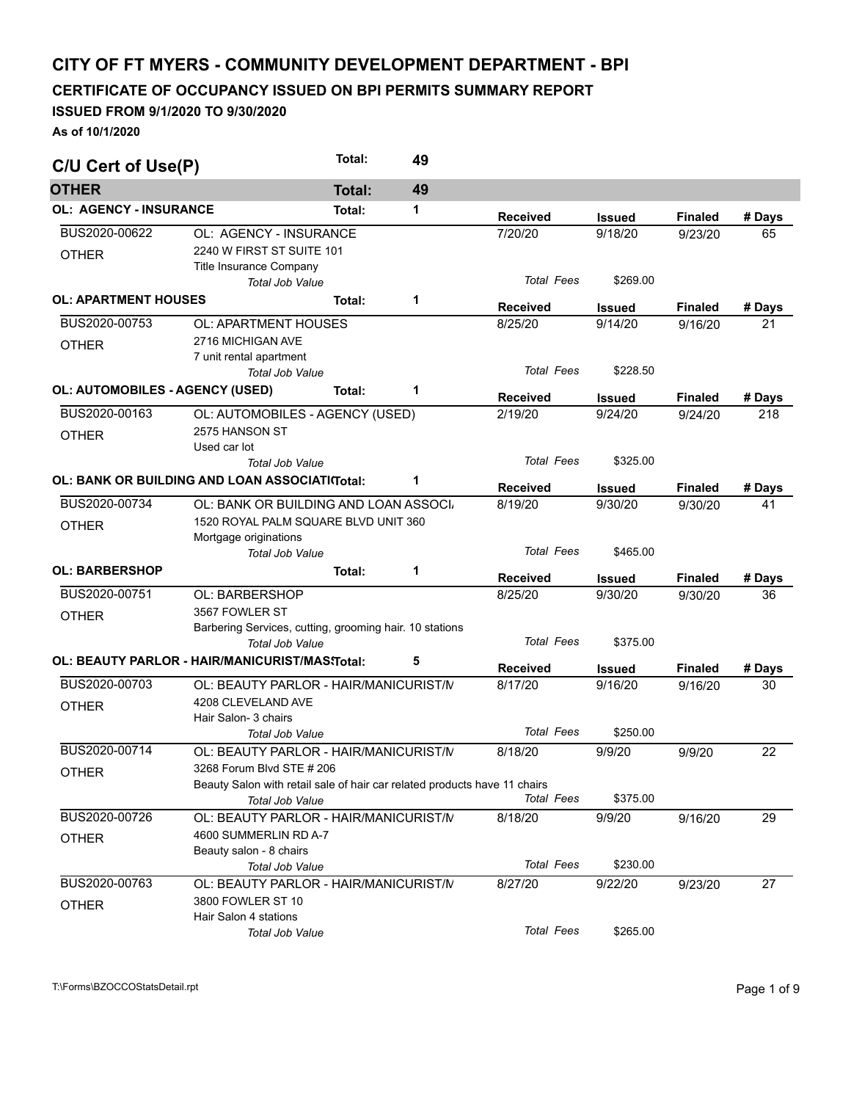## **CITY OF FT MYERS - COMMUNITY DEVELOPMENT DEPARTMENT - BPI**

**CERTIFICATE OF OCCUPANCY ISSUED ON BPI PERMITS SUMMARY REPORT** 

## **ISSUED FROM 9/1/2020 TO 9/30/2020**

**As of 10/1/2020** 

| C/U Cert of Use(P)                     |                                                                           | Total: | 49 |                   |               |                |        |
|----------------------------------------|---------------------------------------------------------------------------|--------|----|-------------------|---------------|----------------|--------|
| <b>OTHER</b>                           |                                                                           | Total: | 49 |                   |               |                |        |
| <b>OL: AGENCY - INSURANCE</b>          |                                                                           | Total: | 1  | <b>Received</b>   | <b>Issued</b> | <b>Finaled</b> | # Days |
| BUS2020-00622                          | OL: AGENCY - INSURANCE                                                    |        |    | 7/20/20           | 9/18/20       | 9/23/20        | 65     |
| <b>OTHER</b>                           | 2240 W FIRST ST SUITE 101                                                 |        |    |                   |               |                |        |
|                                        | Title Insurance Company                                                   |        |    |                   |               |                |        |
|                                        | <b>Total Job Value</b>                                                    |        |    | <b>Total Fees</b> | \$269.00      |                |        |
| <b>OL: APARTMENT HOUSES</b>            |                                                                           | Total: | 1  | <b>Received</b>   | <b>Issued</b> | <b>Finaled</b> | # Days |
| BUS2020-00753                          | <b>OL: APARTMENT HOUSES</b>                                               |        |    | 8/25/20           | 9/14/20       | 9/16/20        | 21     |
| <b>OTHER</b>                           | 2716 MICHIGAN AVE                                                         |        |    |                   |               |                |        |
|                                        | 7 unit rental apartment                                                   |        |    |                   |               |                |        |
|                                        | <b>Total Job Value</b>                                                    |        |    | <b>Total Fees</b> | \$228.50      |                |        |
| <b>OL: AUTOMOBILES - AGENCY (USED)</b> |                                                                           | Total: | 1  |                   |               |                |        |
|                                        |                                                                           |        |    | <b>Received</b>   | <b>Issued</b> | <b>Finaled</b> | # Days |
| BUS2020-00163                          | OL: AUTOMOBILES - AGENCY (USED)                                           |        |    | 2/19/20           | 9/24/20       | 9/24/20        | 218    |
| <b>OTHER</b>                           | 2575 HANSON ST                                                            |        |    |                   |               |                |        |
|                                        | Used car lot                                                              |        |    | <b>Total Fees</b> | \$325.00      |                |        |
|                                        | Total Job Value                                                           |        |    |                   |               |                |        |
|                                        | OL: BANK OR BUILDING AND LOAN ASSOCIATI (Total:                           |        | 1  | <b>Received</b>   | <b>Issued</b> | <b>Finaled</b> | # Days |
| BUS2020-00734                          | OL: BANK OR BUILDING AND LOAN ASSOCI                                      |        |    | 8/19/20           | 9/30/20       | 9/30/20        | 41     |
| <b>OTHER</b>                           | 1520 ROYAL PALM SQUARE BLVD UNIT 360                                      |        |    |                   |               |                |        |
|                                        | Mortgage originations                                                     |        |    |                   |               |                |        |
|                                        | Total Job Value                                                           |        |    | <b>Total Fees</b> | \$465.00      |                |        |
| <b>OL: BARBERSHOP</b>                  |                                                                           | Total: | 1  | <b>Received</b>   | <b>Issued</b> | <b>Finaled</b> | # Days |
| BUS2020-00751                          | <b>OL: BARBERSHOP</b>                                                     |        |    | 8/25/20           | 9/30/20       | 9/30/20        | 36     |
| <b>OTHER</b>                           | 3567 FOWLER ST                                                            |        |    |                   |               |                |        |
|                                        | Barbering Services, cutting, grooming hair. 10 stations                   |        |    |                   |               |                |        |
|                                        | <b>Total Job Value</b>                                                    |        |    | <b>Total Fees</b> | \$375.00      |                |        |
|                                        | OL: BEAUTY PARLOR - HAIR/MANICURIST/MAS{Total;                            |        | 5  | <b>Received</b>   | <b>Issued</b> | <b>Finaled</b> | # Days |
| BUS2020-00703                          | OL: BEAUTY PARLOR - HAIR/MANICURIST/N                                     |        |    | 8/17/20           | 9/16/20       | 9/16/20        | 30     |
|                                        | 4208 CLEVELAND AVE                                                        |        |    |                   |               |                |        |
| <b>OTHER</b>                           | Hair Salon- 3 chairs                                                      |        |    |                   |               |                |        |
|                                        | <b>Total Job Value</b>                                                    |        |    | <b>Total Fees</b> | \$250.00      |                |        |
| BUS2020-00714                          | OL: BEAUTY PARLOR - HAIR/MANICURIST/N                                     |        |    | 8/18/20           | 9/9/20        | 9/9/20         | 22     |
|                                        | 3268 Forum Blvd STE # 206                                                 |        |    |                   |               |                |        |
| <b>OTHER</b>                           | Beauty Salon with retail sale of hair car related products have 11 chairs |        |    |                   |               |                |        |
|                                        | Total Job Value                                                           |        |    | <b>Total Fees</b> | \$375.00      |                |        |
| BUS2020-00726                          | OL: BEAUTY PARLOR - HAIR/MANICURIST/N                                     |        |    | 8/18/20           | 9/9/20        | 9/16/20        | 29     |
| <b>OTHER</b>                           | 4600 SUMMERLIN RD A-7                                                     |        |    |                   |               |                |        |
|                                        | Beauty salon - 8 chairs                                                   |        |    |                   |               |                |        |
|                                        | Total Job Value                                                           |        |    | <b>Total Fees</b> | \$230.00      |                |        |
| BUS2020-00763                          | OL: BEAUTY PARLOR - HAIR/MANICURIST/N                                     |        |    | 8/27/20           | 9/22/20       | 9/23/20        | 27     |
| <b>OTHER</b>                           | 3800 FOWLER ST 10                                                         |        |    |                   |               |                |        |
|                                        | Hair Salon 4 stations                                                     |        |    |                   |               |                |        |
|                                        | Total Job Value                                                           |        |    | <b>Total Fees</b> | \$265.00      |                |        |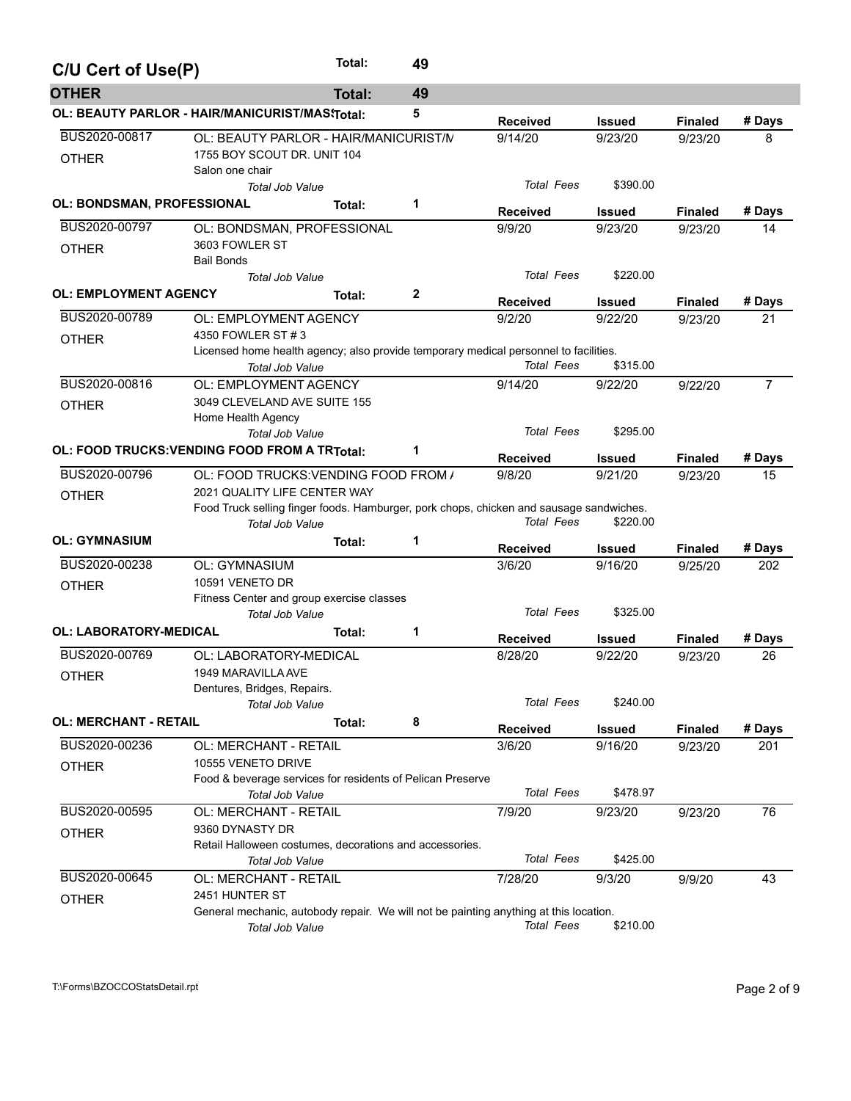| C/U Cert of Use(P)            |                                                                                         | Total:        | 49 |                   |                          |                |                |
|-------------------------------|-----------------------------------------------------------------------------------------|---------------|----|-------------------|--------------------------|----------------|----------------|
| <b>OTHER</b>                  |                                                                                         | <b>Total:</b> | 49 |                   |                          |                |                |
|                               | OL: BEAUTY PARLOR - HAIR/MANICURIST/MAS{Total;                                          |               | 5  | <b>Received</b>   | Issued                   | <b>Finaled</b> | # Days         |
| BUS2020-00817                 | OL: BEAUTY PARLOR - HAIR/MANICURIST/N                                                   |               |    | 9/14/20           | 9/23/20                  | 9/23/20        | 8              |
| <b>OTHER</b>                  | 1755 BOY SCOUT DR. UNIT 104                                                             |               |    |                   |                          |                |                |
|                               | Salon one chair                                                                         |               |    |                   |                          |                |                |
|                               | Total Job Value                                                                         |               |    | <b>Total Fees</b> | \$390.00                 |                |                |
| OL: BONDSMAN, PROFESSIONAL    |                                                                                         | Total:        | 1  | <b>Received</b>   | Issued                   | <b>Finaled</b> | # Days         |
| BUS2020-00797                 | OL: BONDSMAN, PROFESSIONAL                                                              |               |    | 9/9/20            | 9/23/20                  | 9/23/20        | 14             |
| <b>OTHER</b>                  | 3603 FOWLER ST                                                                          |               |    |                   |                          |                |                |
|                               | <b>Bail Bonds</b>                                                                       |               |    |                   |                          |                |                |
|                               | Total Job Value                                                                         |               |    | <b>Total Fees</b> | \$220.00                 |                |                |
| <b>OL: EMPLOYMENT AGENCY</b>  |                                                                                         | Total:        | 2  | <b>Received</b>   |                          | <b>Finaled</b> |                |
| BUS2020-00789                 | <b>OL: EMPLOYMENT AGENCY</b>                                                            |               |    | 9/2/20            | <b>Issued</b><br>9/22/20 | 9/23/20        | # Days<br>21   |
|                               | 4350 FOWLER ST #3                                                                       |               |    |                   |                          |                |                |
| <b>OTHER</b>                  | Licensed home health agency; also provide temporary medical personnel to facilities.    |               |    |                   |                          |                |                |
|                               | Total Job Value                                                                         |               |    | <b>Total Fees</b> | \$315.00                 |                |                |
| BUS2020-00816                 | OL: EMPLOYMENT AGENCY                                                                   |               |    | 9/14/20           | 9/22/20                  | 9/22/20        | $\overline{7}$ |
| <b>OTHER</b>                  | 3049 CLEVELAND AVE SUITE 155                                                            |               |    |                   |                          |                |                |
|                               | Home Health Agency                                                                      |               |    |                   |                          |                |                |
|                               | <b>Total Job Value</b>                                                                  |               |    | <b>Total Fees</b> | \$295.00                 |                |                |
|                               | OL: FOOD TRUCKS: VENDING FOOD FROM A TRTotal:                                           |               | 1  | <b>Received</b>   |                          | <b>Finaled</b> | # Days         |
| BUS2020-00796                 | OL: FOOD TRUCKS: VENDING FOOD FROM /                                                    |               |    | 9/8/20            | Issued<br>9/21/20        | 9/23/20        | 15             |
|                               | 2021 QUALITY LIFE CENTER WAY                                                            |               |    |                   |                          |                |                |
| <b>OTHER</b>                  | Food Truck selling finger foods. Hamburger, pork chops, chicken and sausage sandwiches. |               |    |                   |                          |                |                |
|                               | <b>Total Job Value</b>                                                                  |               |    | <b>Total Fees</b> | \$220.00                 |                |                |
| <b>OL: GYMNASIUM</b>          |                                                                                         | Total:        | 1  |                   |                          |                |                |
|                               |                                                                                         |               |    | <b>Received</b>   | Issued                   | <b>Finaled</b> | # Days         |
| BUS2020-00238                 | <b>OL: GYMNASIUM</b>                                                                    |               |    | 3/6/20            | 9/16/20                  | 9/25/20        | 202            |
| <b>OTHER</b>                  | 10591 VENETO DR                                                                         |               |    |                   |                          |                |                |
|                               | Fitness Center and group exercise classes<br>Total Job Value                            |               |    | <b>Total Fees</b> | \$325.00                 |                |                |
| <b>OL: LABORATORY-MEDICAL</b> |                                                                                         | Total:        | 1  |                   |                          |                |                |
|                               |                                                                                         |               |    | <b>Received</b>   | Issued                   | <b>Finaled</b> | # Days         |
| BUS2020-00769                 | OL: LABORATORY-MEDICAL                                                                  |               |    | 8/28/20           | 9/22/20                  | 9/23/20        | 26             |
| <b>OTHER</b>                  | 1949 MARAVILLA AVE                                                                      |               |    |                   |                          |                |                |
|                               | Dentures, Bridges, Repairs.                                                             |               |    |                   |                          |                |                |
|                               | <b>Total Job Value</b>                                                                  |               |    | <b>Total Fees</b> | \$240.00                 |                |                |
| <b>OL: MERCHANT - RETAIL</b>  |                                                                                         | Total:        | 8  | <b>Received</b>   | <b>Issued</b>            | <b>Finaled</b> | # Days         |
| BUS2020-00236                 | OL: MERCHANT - RETAIL                                                                   |               |    | 3/6/20            | 9/16/20                  | 9/23/20        | 201            |
| <b>OTHER</b>                  | 10555 VENETO DRIVE                                                                      |               |    |                   |                          |                |                |
|                               | Food & beverage services for residents of Pelican Preserve                              |               |    |                   |                          |                |                |
|                               | Total Job Value                                                                         |               |    | <b>Total Fees</b> | \$478.97                 |                |                |
| BUS2020-00595                 | OL: MERCHANT - RETAIL                                                                   |               |    | 7/9/20            | 9/23/20                  | 9/23/20        | 76             |
| <b>OTHER</b>                  | 9360 DYNASTY DR                                                                         |               |    |                   |                          |                |                |
|                               | Retail Halloween costumes, decorations and accessories.                                 |               |    |                   |                          |                |                |
|                               | Total Job Value                                                                         |               |    | <b>Total Fees</b> | \$425.00                 |                |                |
| BUS2020-00645                 | OL: MERCHANT - RETAIL                                                                   |               |    | 7/28/20           | 9/3/20                   | 9/9/20         | 43             |
| <b>OTHER</b>                  | 2451 HUNTER ST                                                                          |               |    |                   |                          |                |                |
|                               | General mechanic, autobody repair. We will not be painting anything at this location.   |               |    | <b>Total Fees</b> | \$210.00                 |                |                |
|                               | Total Job Value                                                                         |               |    |                   |                          |                |                |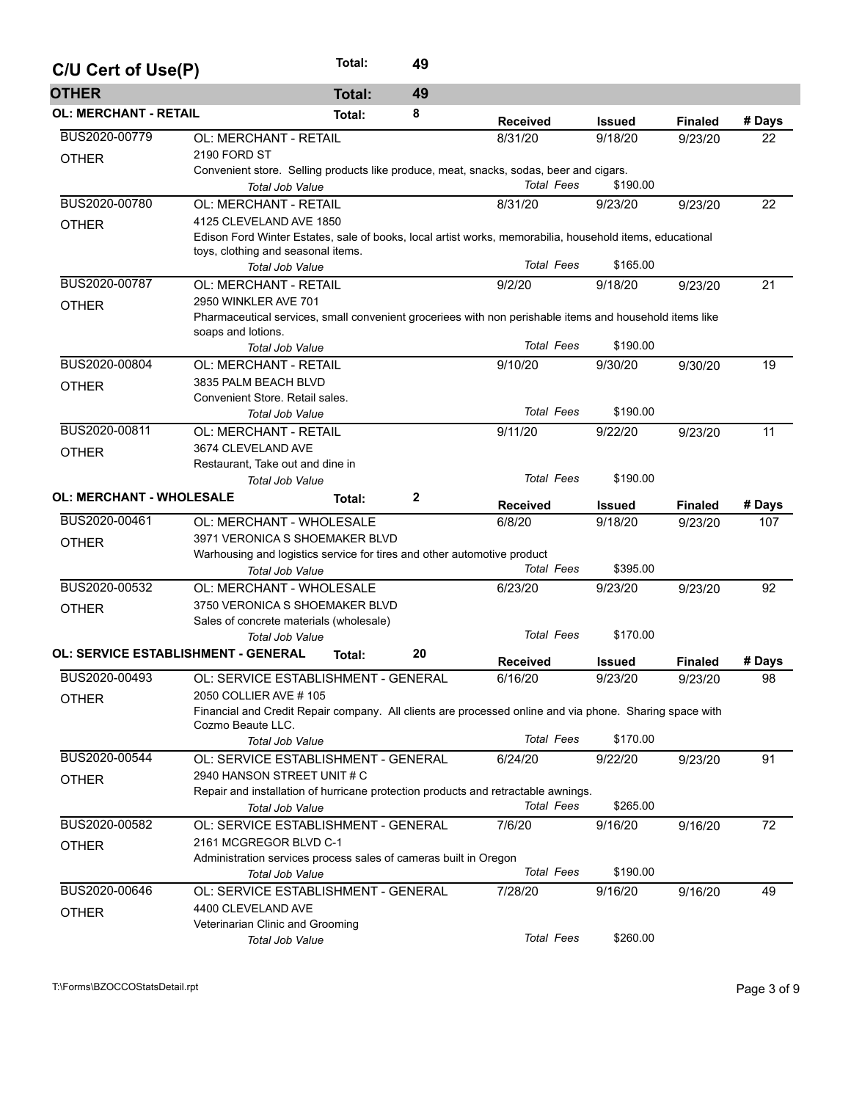| <b>OTHER</b><br>49<br><b>Total:</b><br><b>OL: MERCHANT - RETAIL</b><br>8<br>Total:<br><b>Received</b><br><b>Issued</b><br>BUS2020-00779<br><b>OL: MERCHANT - RETAIL</b><br>8/31/20<br>9/18/20<br>2190 FORD ST<br><b>OTHER</b><br>Convenient store. Selling products like produce, meat, snacks, sodas, beer and cigars.<br>\$190.00<br>Total Fees<br>Total Job Value<br>BUS2020-00780<br><b>OL: MERCHANT - RETAIL</b><br>8/31/20<br>9/23/20<br>4125 CLEVELAND AVE 1850<br><b>OTHER</b> | <b>Finaled</b><br>9/23/20<br>9/23/20                                                                    | # Days<br>22<br>22 |  |  |  |  |  |  |  |
|----------------------------------------------------------------------------------------------------------------------------------------------------------------------------------------------------------------------------------------------------------------------------------------------------------------------------------------------------------------------------------------------------------------------------------------------------------------------------------------|---------------------------------------------------------------------------------------------------------|--------------------|--|--|--|--|--|--|--|
|                                                                                                                                                                                                                                                                                                                                                                                                                                                                                        |                                                                                                         |                    |  |  |  |  |  |  |  |
|                                                                                                                                                                                                                                                                                                                                                                                                                                                                                        |                                                                                                         |                    |  |  |  |  |  |  |  |
|                                                                                                                                                                                                                                                                                                                                                                                                                                                                                        |                                                                                                         |                    |  |  |  |  |  |  |  |
|                                                                                                                                                                                                                                                                                                                                                                                                                                                                                        |                                                                                                         |                    |  |  |  |  |  |  |  |
|                                                                                                                                                                                                                                                                                                                                                                                                                                                                                        |                                                                                                         |                    |  |  |  |  |  |  |  |
|                                                                                                                                                                                                                                                                                                                                                                                                                                                                                        |                                                                                                         |                    |  |  |  |  |  |  |  |
|                                                                                                                                                                                                                                                                                                                                                                                                                                                                                        |                                                                                                         |                    |  |  |  |  |  |  |  |
|                                                                                                                                                                                                                                                                                                                                                                                                                                                                                        |                                                                                                         |                    |  |  |  |  |  |  |  |
| Edison Ford Winter Estates, sale of books, local artist works, memorabilia, household items, educational                                                                                                                                                                                                                                                                                                                                                                               |                                                                                                         |                    |  |  |  |  |  |  |  |
| toys, clothing and seasonal items.                                                                                                                                                                                                                                                                                                                                                                                                                                                     |                                                                                                         |                    |  |  |  |  |  |  |  |
| <b>Total Fees</b><br>\$165.00<br><b>Total Job Value</b>                                                                                                                                                                                                                                                                                                                                                                                                                                |                                                                                                         |                    |  |  |  |  |  |  |  |
| BUS2020-00787<br><b>OL: MERCHANT - RETAIL</b><br>9/2/20<br>9/18/20                                                                                                                                                                                                                                                                                                                                                                                                                     | 9/23/20                                                                                                 | 21                 |  |  |  |  |  |  |  |
| 2950 WINKLER AVE 701<br><b>OTHER</b>                                                                                                                                                                                                                                                                                                                                                                                                                                                   |                                                                                                         |                    |  |  |  |  |  |  |  |
|                                                                                                                                                                                                                                                                                                                                                                                                                                                                                        | Pharmaceutical services, small convenient groceriees with non perishable items and household items like |                    |  |  |  |  |  |  |  |
| soaps and lotions.<br><b>Total Fees</b><br>\$190.00<br><b>Total Job Value</b>                                                                                                                                                                                                                                                                                                                                                                                                          |                                                                                                         |                    |  |  |  |  |  |  |  |
| BUS2020-00804<br><b>OL: MERCHANT - RETAIL</b><br>9/10/20<br>9/30/20                                                                                                                                                                                                                                                                                                                                                                                                                    |                                                                                                         | 19                 |  |  |  |  |  |  |  |
| 3835 PALM BEACH BLVD                                                                                                                                                                                                                                                                                                                                                                                                                                                                   | 9/30/20                                                                                                 |                    |  |  |  |  |  |  |  |
| <b>OTHER</b><br>Convenient Store, Retail sales.                                                                                                                                                                                                                                                                                                                                                                                                                                        |                                                                                                         |                    |  |  |  |  |  |  |  |
| <b>Total Fees</b><br>\$190.00<br>Total Job Value                                                                                                                                                                                                                                                                                                                                                                                                                                       |                                                                                                         |                    |  |  |  |  |  |  |  |
| BUS2020-00811<br>9/11/20<br><b>OL: MERCHANT - RETAIL</b><br>9/22/20                                                                                                                                                                                                                                                                                                                                                                                                                    | 9/23/20                                                                                                 | 11                 |  |  |  |  |  |  |  |
| 3674 CLEVELAND AVE                                                                                                                                                                                                                                                                                                                                                                                                                                                                     |                                                                                                         |                    |  |  |  |  |  |  |  |
| <b>OTHER</b><br>Restaurant, Take out and dine in                                                                                                                                                                                                                                                                                                                                                                                                                                       |                                                                                                         |                    |  |  |  |  |  |  |  |
| <b>Total Fees</b><br>\$190.00<br>Total Job Value                                                                                                                                                                                                                                                                                                                                                                                                                                       |                                                                                                         |                    |  |  |  |  |  |  |  |
| <b>OL: MERCHANT - WHOLESALE</b><br>$\mathbf{2}$<br>Total:                                                                                                                                                                                                                                                                                                                                                                                                                              |                                                                                                         |                    |  |  |  |  |  |  |  |
| <b>Received</b><br>Issued                                                                                                                                                                                                                                                                                                                                                                                                                                                              | <b>Finaled</b>                                                                                          | # Days             |  |  |  |  |  |  |  |
| BUS2020-00461<br>OL: MERCHANT - WHOLESALE<br>6/8/20<br>9/18/20                                                                                                                                                                                                                                                                                                                                                                                                                         | 9/23/20                                                                                                 | 107                |  |  |  |  |  |  |  |
| 3971 VERONICA S SHOEMAKER BLVD<br><b>OTHER</b>                                                                                                                                                                                                                                                                                                                                                                                                                                         |                                                                                                         |                    |  |  |  |  |  |  |  |
| Warhousing and logistics service for tires and other automotive product<br><b>Total Fees</b><br>\$395.00                                                                                                                                                                                                                                                                                                                                                                               |                                                                                                         |                    |  |  |  |  |  |  |  |
| Total Job Value<br>BUS2020-00532<br>OL: MERCHANT - WHOLESALE<br>9/23/20                                                                                                                                                                                                                                                                                                                                                                                                                |                                                                                                         | 92                 |  |  |  |  |  |  |  |
| 6/23/20                                                                                                                                                                                                                                                                                                                                                                                                                                                                                | 9/23/20                                                                                                 |                    |  |  |  |  |  |  |  |
| <b>OTHER</b><br>Sales of concrete materials (wholesale)                                                                                                                                                                                                                                                                                                                                                                                                                                | 3750 VERONICA S SHOEMAKER BLVD                                                                          |                    |  |  |  |  |  |  |  |
| <b>Total Fees</b><br>\$170.00<br>Total Job Value                                                                                                                                                                                                                                                                                                                                                                                                                                       |                                                                                                         |                    |  |  |  |  |  |  |  |
| <b>OL: SERVICE ESTABLISHMENT - GENERAL</b><br>20<br>Total:                                                                                                                                                                                                                                                                                                                                                                                                                             |                                                                                                         |                    |  |  |  |  |  |  |  |
| <b>Received</b><br><b>Issued</b>                                                                                                                                                                                                                                                                                                                                                                                                                                                       | <b>Finaled</b>                                                                                          | # Days             |  |  |  |  |  |  |  |
| BUS2020-00493<br>6/16/20<br>9/23/20<br>OL: SERVICE ESTABLISHMENT - GENERAL                                                                                                                                                                                                                                                                                                                                                                                                             | 9/23/20                                                                                                 | 98                 |  |  |  |  |  |  |  |
| 2050 COLLIER AVE #105<br><b>OTHER</b>                                                                                                                                                                                                                                                                                                                                                                                                                                                  |                                                                                                         |                    |  |  |  |  |  |  |  |
| Financial and Credit Repair company. All clients are processed online and via phone. Sharing space with                                                                                                                                                                                                                                                                                                                                                                                |                                                                                                         |                    |  |  |  |  |  |  |  |
| Cozmo Beaute LLC.<br><b>Total Fees</b><br>\$170.00<br>Total Job Value                                                                                                                                                                                                                                                                                                                                                                                                                  |                                                                                                         |                    |  |  |  |  |  |  |  |
| BUS2020-00544<br>OL: SERVICE ESTABLISHMENT - GENERAL<br>6/24/20<br>9/22/20                                                                                                                                                                                                                                                                                                                                                                                                             |                                                                                                         | 91                 |  |  |  |  |  |  |  |
| 2940 HANSON STREET UNIT # C                                                                                                                                                                                                                                                                                                                                                                                                                                                            | 9/23/20                                                                                                 |                    |  |  |  |  |  |  |  |
| <b>OTHER</b><br>Repair and installation of hurricane protection products and retractable awnings.                                                                                                                                                                                                                                                                                                                                                                                      |                                                                                                         |                    |  |  |  |  |  |  |  |
| <b>Total Fees</b><br>\$265.00<br>Total Job Value                                                                                                                                                                                                                                                                                                                                                                                                                                       |                                                                                                         |                    |  |  |  |  |  |  |  |
| BUS2020-00582<br>OL: SERVICE ESTABLISHMENT - GENERAL<br>7/6/20<br>9/16/20                                                                                                                                                                                                                                                                                                                                                                                                              | 9/16/20                                                                                                 | 72                 |  |  |  |  |  |  |  |
| 2161 MCGREGOR BLVD C-1                                                                                                                                                                                                                                                                                                                                                                                                                                                                 |                                                                                                         |                    |  |  |  |  |  |  |  |
| <b>OTHER</b><br>Administration services process sales of cameras built in Oregon                                                                                                                                                                                                                                                                                                                                                                                                       |                                                                                                         |                    |  |  |  |  |  |  |  |
| <b>Total Fees</b><br>\$190.00<br>Total Job Value                                                                                                                                                                                                                                                                                                                                                                                                                                       |                                                                                                         |                    |  |  |  |  |  |  |  |
| BUS2020-00646<br>OL: SERVICE ESTABLISHMENT - GENERAL<br>7/28/20<br>9/16/20                                                                                                                                                                                                                                                                                                                                                                                                             | 9/16/20                                                                                                 | 49                 |  |  |  |  |  |  |  |
| 4400 CLEVELAND AVE<br><b>OTHER</b>                                                                                                                                                                                                                                                                                                                                                                                                                                                     |                                                                                                         |                    |  |  |  |  |  |  |  |
| Veterinarian Clinic and Grooming                                                                                                                                                                                                                                                                                                                                                                                                                                                       |                                                                                                         |                    |  |  |  |  |  |  |  |
| <b>Total Fees</b><br>\$260.00<br>Total Job Value                                                                                                                                                                                                                                                                                                                                                                                                                                       |                                                                                                         |                    |  |  |  |  |  |  |  |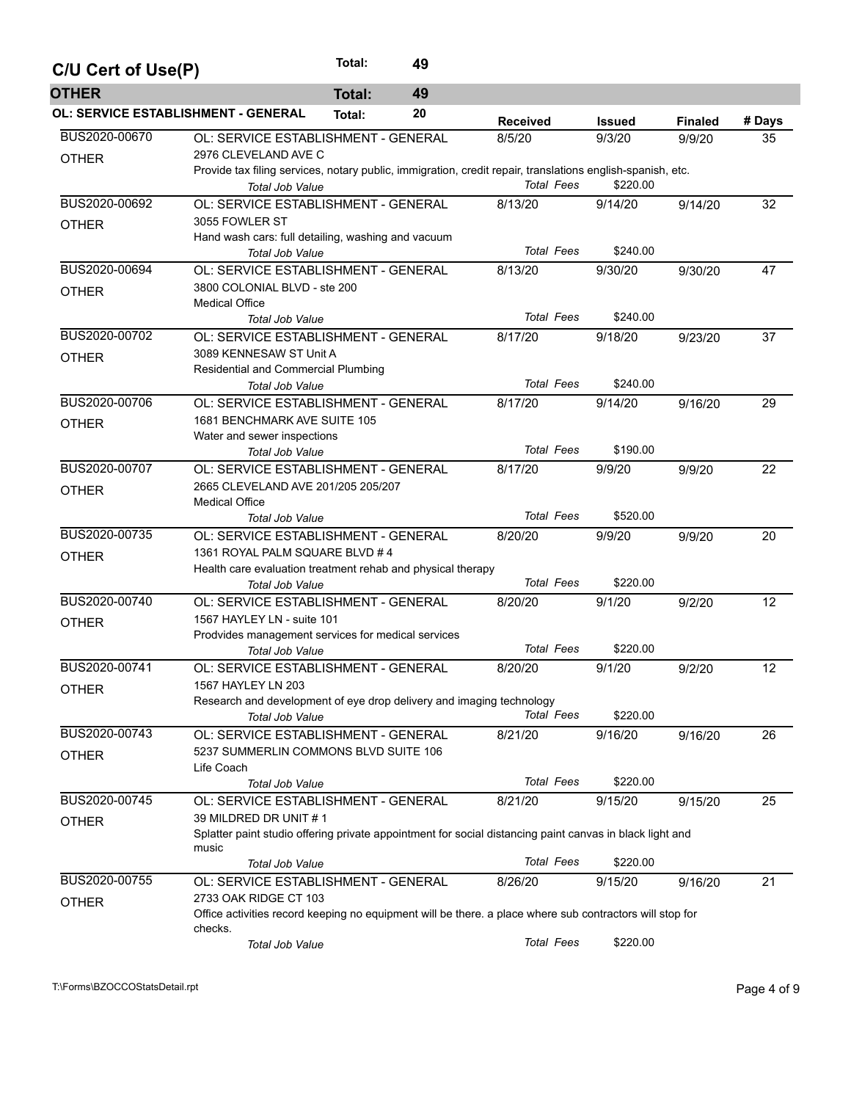| C/U Cert of Use(P)                         |                                                                                                                                                                                     | Total:        | 49 |                   |               |                |        |
|--------------------------------------------|-------------------------------------------------------------------------------------------------------------------------------------------------------------------------------------|---------------|----|-------------------|---------------|----------------|--------|
| <b>OTHER</b>                               |                                                                                                                                                                                     | <b>Total:</b> | 49 |                   |               |                |        |
| <b>OL: SERVICE ESTABLISHMENT - GENERAL</b> |                                                                                                                                                                                     | Total:        | 20 | <b>Received</b>   | <b>Issued</b> | <b>Finaled</b> | # Days |
| BUS2020-00670<br><b>OTHER</b>              | OL: SERVICE ESTABLISHMENT - GENERAL<br>2976 CLEVELAND AVE C<br>Provide tax filing services, notary public, immigration, credit repair, translations english-spanish, etc.           |               |    | 8/5/20            | 9/3/20        | 9/9/20         | 35     |
|                                            | Total Job Value                                                                                                                                                                     |               |    | <b>Total Fees</b> | \$220.00      |                |        |
| BUS2020-00692<br><b>OTHER</b>              | OL: SERVICE ESTABLISHMENT - GENERAL<br>3055 FOWLER ST<br>Hand wash cars: full detailing, washing and vacuum                                                                         |               |    | 8/13/20           | 9/14/20       | 9/14/20        | 32     |
|                                            | <b>Total Job Value</b>                                                                                                                                                              |               |    | <b>Total Fees</b> | \$240.00      |                |        |
| BUS2020-00694<br><b>OTHER</b>              | OL: SERVICE ESTABLISHMENT - GENERAL<br>3800 COLONIAL BLVD - ste 200<br><b>Medical Office</b>                                                                                        |               |    | 8/13/20           | 9/30/20       | 9/30/20        | 47     |
|                                            | <b>Total Job Value</b>                                                                                                                                                              |               |    | <b>Total Fees</b> | \$240.00      |                |        |
| BUS2020-00702<br><b>OTHER</b>              | OL: SERVICE ESTABLISHMENT - GENERAL<br>3089 KENNESAW ST Unit A<br>Residential and Commercial Plumbing                                                                               |               |    | 8/17/20           | 9/18/20       | 9/23/20        | 37     |
|                                            | Total Job Value                                                                                                                                                                     |               |    | <b>Total Fees</b> | \$240.00      |                |        |
| BUS2020-00706<br><b>OTHER</b>              | OL: SERVICE ESTABLISHMENT - GENERAL<br>1681 BENCHMARK AVE SUITE 105<br>Water and sewer inspections                                                                                  |               |    | 8/17/20           | 9/14/20       | 9/16/20        | 29     |
|                                            | <b>Total Job Value</b>                                                                                                                                                              |               |    | <b>Total Fees</b> | \$190.00      |                |        |
| BUS2020-00707<br><b>OTHER</b>              | OL: SERVICE ESTABLISHMENT - GENERAL<br>2665 CLEVELAND AVE 201/205 205/207<br><b>Medical Office</b>                                                                                  |               |    | 8/17/20           | 9/9/20        | 9/9/20         | 22     |
|                                            | Total Job Value                                                                                                                                                                     |               |    | <b>Total Fees</b> | \$520.00      |                |        |
| BUS2020-00735                              | OL: SERVICE ESTABLISHMENT - GENERAL                                                                                                                                                 |               |    | 8/20/20           | 9/9/20        | 9/9/20         | 20     |
| <b>OTHER</b>                               | 1361 ROYAL PALM SQUARE BLVD # 4<br>Health care evaluation treatment rehab and physical therapy<br>Total Job Value                                                                   |               |    | <b>Total Fees</b> | \$220.00      |                |        |
| BUS2020-00740<br><b>OTHER</b>              | OL: SERVICE ESTABLISHMENT - GENERAL<br>1567 HAYLEY LN - suite 101<br>Prodvides management services for medical services                                                             |               |    | 8/20/20           | 9/1/20        | 9/2/20         | 12     |
|                                            | Total Job Value                                                                                                                                                                     |               |    | <b>Total Fees</b> | \$220.00      |                |        |
| BUS2020-00741<br><b>OTHER</b>              | OL: SERVICE ESTABLISHMENT - GENERAL<br>1567 HAYLEY LN 203<br>Research and development of eye drop delivery and imaging technology                                                   |               |    | 8/20/20           | 9/1/20        | 9/2/20         | 12     |
| BUS2020-00743                              | Total Job Value<br>OL: SERVICE ESTABLISHMENT - GENERAL                                                                                                                              |               |    | <b>Total Fees</b> | \$220.00      |                |        |
| <b>OTHER</b>                               | 5237 SUMMERLIN COMMONS BLVD SUITE 106<br>Life Coach                                                                                                                                 |               |    | 8/21/20           | 9/16/20       | 9/16/20        | 26     |
|                                            | Total Job Value                                                                                                                                                                     |               |    | <b>Total Fees</b> | \$220.00      |                |        |
| BUS2020-00745<br><b>OTHER</b>              | OL: SERVICE ESTABLISHMENT - GENERAL<br>39 MILDRED DR UNIT#1<br>Splatter paint studio offering private appointment for social distancing paint canvas in black light and<br>music    |               |    | 8/21/20           | 9/15/20       | 9/15/20        | 25     |
|                                            | Total Job Value                                                                                                                                                                     |               |    | <b>Total Fees</b> | \$220.00      |                |        |
| BUS2020-00755<br><b>OTHER</b>              | OL: SERVICE ESTABLISHMENT - GENERAL<br>2733 OAK RIDGE CT 103<br>Office activities record keeping no equipment will be there. a place where sub contractors will stop for<br>checks. |               |    | 8/26/20           | 9/15/20       | 9/16/20        | 21     |
|                                            | Total Job Value                                                                                                                                                                     |               |    | <b>Total Fees</b> | \$220.00      |                |        |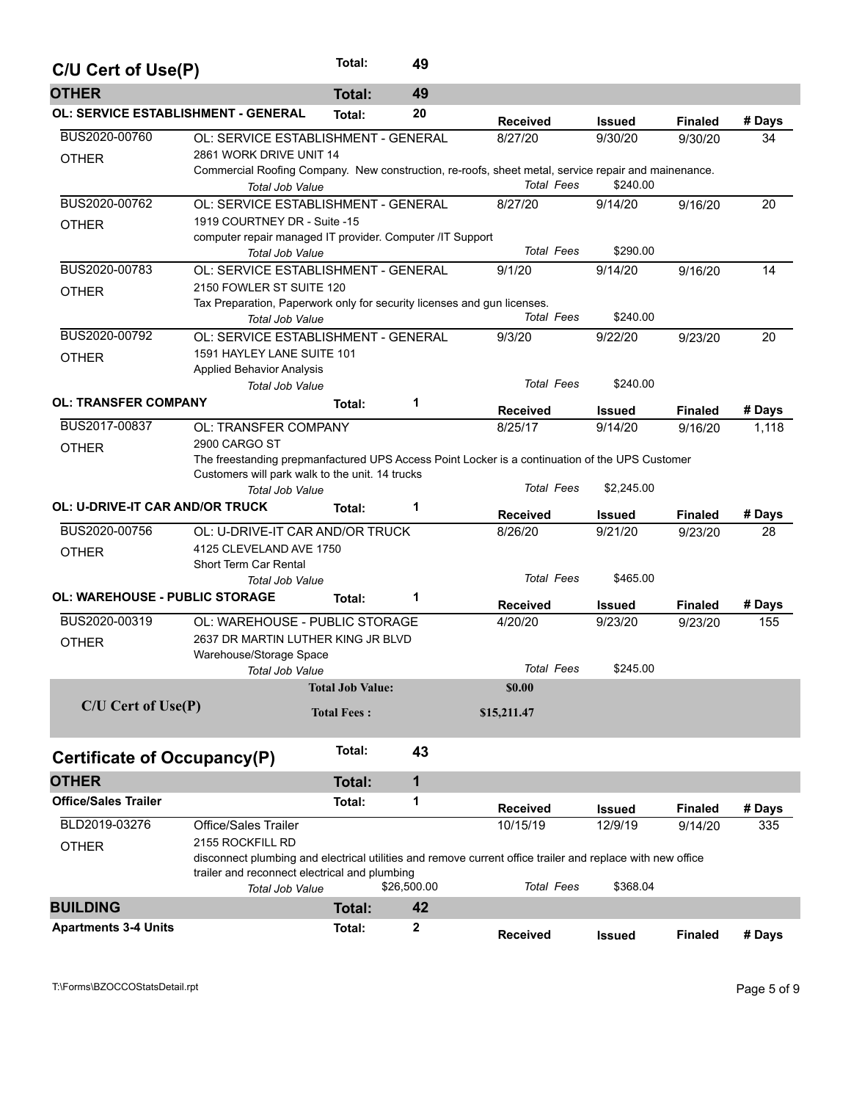| <b>OTHER</b><br>49<br><b>Total:</b>                                                                                        |                                                                         |               |  |  |  |  |  |
|----------------------------------------------------------------------------------------------------------------------------|-------------------------------------------------------------------------|---------------|--|--|--|--|--|
| <b>OL: SERVICE ESTABLISHMENT - GENERAL</b><br>20<br>Total:<br><b>Received</b><br><b>Issued</b>                             | <b>Finaled</b>                                                          | # Days        |  |  |  |  |  |
| BUS2020-00760<br>OL: SERVICE ESTABLISHMENT - GENERAL<br>8/27/20<br>9/30/20                                                 | 9/30/20                                                                 | 34            |  |  |  |  |  |
| 2861 WORK DRIVE UNIT 14<br><b>OTHER</b>                                                                                    |                                                                         |               |  |  |  |  |  |
| Commercial Roofing Company. New construction, re-roofs, sheet metal, service repair and mainenance.                        |                                                                         |               |  |  |  |  |  |
| <b>Total Fees</b><br>\$240.00<br>Total Job Value                                                                           |                                                                         |               |  |  |  |  |  |
| BUS2020-00762<br>OL: SERVICE ESTABLISHMENT - GENERAL<br>8/27/20<br>9/14/20                                                 | 9/16/20                                                                 | 20            |  |  |  |  |  |
| 1919 COURTNEY DR - Suite -15<br><b>OTHER</b>                                                                               |                                                                         |               |  |  |  |  |  |
| computer repair managed IT provider. Computer /IT Support                                                                  |                                                                         |               |  |  |  |  |  |
| Total Fees<br>\$290.00<br><b>Total Job Value</b>                                                                           |                                                                         |               |  |  |  |  |  |
| BUS2020-00783<br>OL: SERVICE ESTABLISHMENT - GENERAL<br>9/1/20<br>9/14/20                                                  | 9/16/20                                                                 | 14            |  |  |  |  |  |
| 2150 FOWLER ST SUITE 120<br><b>OTHER</b>                                                                                   |                                                                         |               |  |  |  |  |  |
|                                                                                                                            | Tax Preparation, Paperwork only for security licenses and gun licenses. |               |  |  |  |  |  |
| <b>Total Fees</b><br>\$240.00<br>Total Job Value                                                                           |                                                                         |               |  |  |  |  |  |
| BUS2020-00792<br>OL: SERVICE ESTABLISHMENT - GENERAL<br>9/3/20<br>9/22/20                                                  | 9/23/20                                                                 | 20            |  |  |  |  |  |
| 1591 HAYLEY LANE SUITE 101<br><b>OTHER</b>                                                                                 |                                                                         |               |  |  |  |  |  |
| <b>Applied Behavior Analysis</b><br><b>Total Fees</b><br>\$240.00                                                          |                                                                         |               |  |  |  |  |  |
| Total Job Value                                                                                                            |                                                                         |               |  |  |  |  |  |
| <b>OL: TRANSFER COMPANY</b><br>1<br>Total:<br><b>Received</b><br><b>Issued</b>                                             | <b>Finaled</b>                                                          | # Days        |  |  |  |  |  |
| BUS2017-00837<br><b>OL: TRANSFER COMPANY</b><br>8/25/17<br>9/14/20                                                         | 9/16/20                                                                 | 1,118         |  |  |  |  |  |
| 2900 CARGO ST<br><b>OTHER</b>                                                                                              |                                                                         |               |  |  |  |  |  |
| The freestanding prepmanfactured UPS Access Point Locker is a continuation of the UPS Customer                             |                                                                         |               |  |  |  |  |  |
| Customers will park walk to the unit. 14 trucks                                                                            |                                                                         |               |  |  |  |  |  |
| Total Fees<br>\$2,245.00<br>Total Job Value                                                                                |                                                                         |               |  |  |  |  |  |
| OL: U-DRIVE-IT CAR AND/OR TRUCK<br>1<br>Total:<br><b>Received</b><br><b>Issued</b>                                         | <b>Finaled</b>                                                          | # Days        |  |  |  |  |  |
| BUS2020-00756<br>OL: U-DRIVE-IT CAR AND/OR TRUCK<br>8/26/20<br>9/21/20                                                     | 9/23/20                                                                 | 28            |  |  |  |  |  |
| 4125 CLEVELAND AVE 1750<br><b>OTHER</b>                                                                                    |                                                                         |               |  |  |  |  |  |
| Short Term Car Rental                                                                                                      |                                                                         |               |  |  |  |  |  |
|                                                                                                                            |                                                                         |               |  |  |  |  |  |
| <b>Total Fees</b><br>\$465.00<br>Total Job Value                                                                           |                                                                         |               |  |  |  |  |  |
| <b>OL: WAREHOUSE - PUBLIC STORAGE</b><br>1<br>Total:                                                                       |                                                                         |               |  |  |  |  |  |
| <b>Received</b><br>Issued<br>BUS2020-00319<br>OL: WAREHOUSE - PUBLIC STORAGE                                               | <b>Finaled</b>                                                          | # Days        |  |  |  |  |  |
| 4/20/20<br>9/23/20                                                                                                         | 9/23/20                                                                 | 155           |  |  |  |  |  |
| 2637 DR MARTIN LUTHER KING JR BLVD<br><b>OTHER</b><br>Warehouse/Storage Space                                              |                                                                         |               |  |  |  |  |  |
| <b>Total Fees</b><br>\$245.00<br><b>Total Job Value</b>                                                                    |                                                                         |               |  |  |  |  |  |
| <b>Total Job Value:</b><br>\$0.00                                                                                          |                                                                         |               |  |  |  |  |  |
|                                                                                                                            |                                                                         |               |  |  |  |  |  |
| $C/U$ Cert of Use $(P)$<br><b>Total Fees:</b><br>\$15,211.47                                                               |                                                                         |               |  |  |  |  |  |
|                                                                                                                            |                                                                         |               |  |  |  |  |  |
| Total:<br>43<br>Certificate of Occupancy(P)                                                                                |                                                                         |               |  |  |  |  |  |
| <b>OTHER</b><br>1<br><b>Total:</b>                                                                                         |                                                                         |               |  |  |  |  |  |
| <b>Office/Sales Trailer</b><br>1<br>Total:<br><b>Received</b>                                                              | <b>Finaled</b>                                                          |               |  |  |  |  |  |
| <b>Issued</b><br>BLD2019-03276<br><b>Office/Sales Trailer</b><br>10/15/19<br>12/9/19                                       | 9/14/20                                                                 | # Days<br>335 |  |  |  |  |  |
| 2155 ROCKFILL RD                                                                                                           |                                                                         |               |  |  |  |  |  |
| <b>OTHER</b><br>disconnect plumbing and electrical utilities and remove current office trailer and replace with new office |                                                                         |               |  |  |  |  |  |
| trailer and reconnect electrical and plumbing                                                                              |                                                                         |               |  |  |  |  |  |
| <b>Total Fees</b><br>\$368.04<br>\$26,500.00<br><b>Total Job Value</b>                                                     |                                                                         |               |  |  |  |  |  |
| <b>BUILDING</b><br>42<br><b>Total:</b>                                                                                     |                                                                         |               |  |  |  |  |  |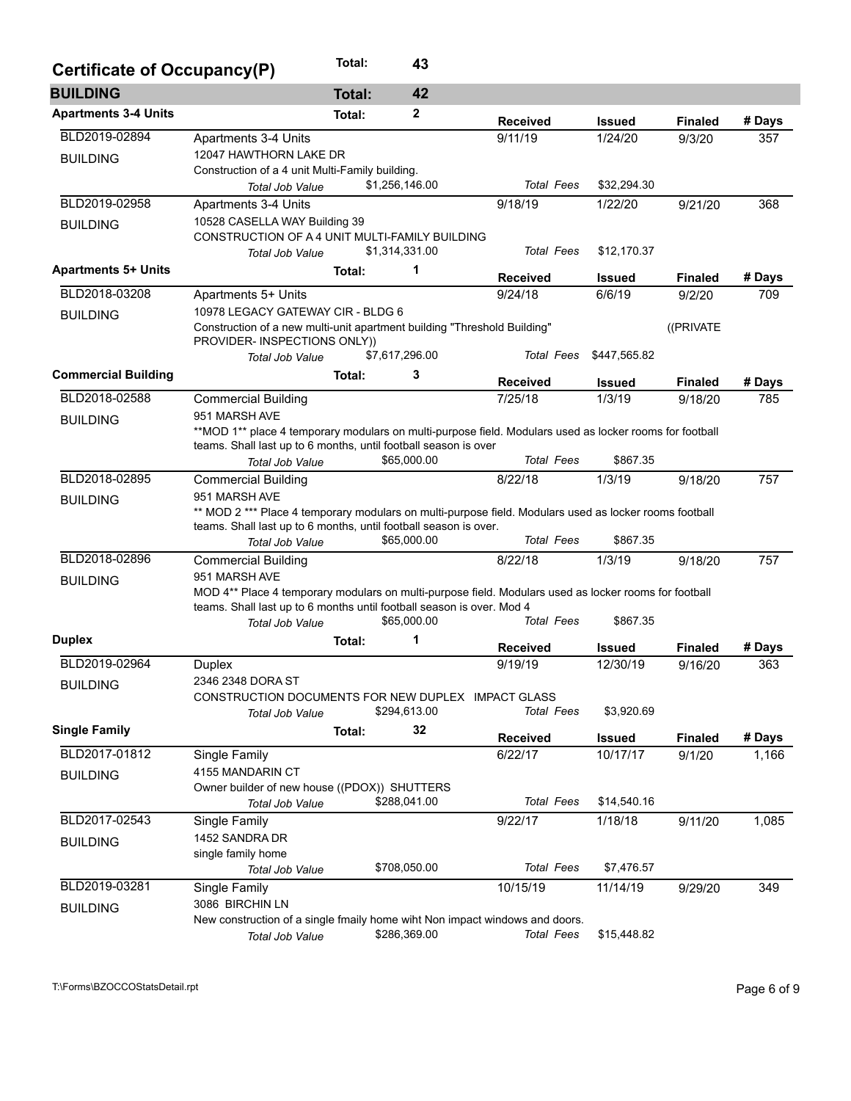| Certificate of Occupancy(P) |                                                                                                                                                                            | Total:                                                                                                | 43             |                   |               |                |        |  |  |  |  |
|-----------------------------|----------------------------------------------------------------------------------------------------------------------------------------------------------------------------|-------------------------------------------------------------------------------------------------------|----------------|-------------------|---------------|----------------|--------|--|--|--|--|
| <b>BUILDING</b>             |                                                                                                                                                                            | <b>Total:</b>                                                                                         | 42             |                   |               |                |        |  |  |  |  |
| <b>Apartments 3-4 Units</b> |                                                                                                                                                                            | Total:                                                                                                | $\mathbf 2$    | <b>Received</b>   | <b>Issued</b> | <b>Finaled</b> | # Days |  |  |  |  |
| BLD2019-02894               | Apartments 3-4 Units                                                                                                                                                       |                                                                                                       |                | 9/11/19           | 1/24/20       | 9/3/20         | 357    |  |  |  |  |
| <b>BUILDING</b>             | 12047 HAWTHORN LAKE DR                                                                                                                                                     |                                                                                                       |                |                   |               |                |        |  |  |  |  |
|                             | Construction of a 4 unit Multi-Family building.                                                                                                                            |                                                                                                       |                |                   |               |                |        |  |  |  |  |
|                             | Total Job Value                                                                                                                                                            |                                                                                                       | \$1,256,146.00 | <b>Total Fees</b> | \$32,294.30   |                |        |  |  |  |  |
| BLD2019-02958               | Apartments 3-4 Units                                                                                                                                                       |                                                                                                       |                | 9/18/19           | 1/22/20       | 9/21/20        | 368    |  |  |  |  |
| <b>BUILDING</b>             | 10528 CASELLA WAY Building 39                                                                                                                                              |                                                                                                       |                |                   |               |                |        |  |  |  |  |
|                             | CONSTRUCTION OF A 4 UNIT MULTI-FAMILY BUILDING                                                                                                                             |                                                                                                       |                |                   |               |                |        |  |  |  |  |
|                             | Total Job Value                                                                                                                                                            |                                                                                                       | \$1,314,331.00 | <b>Total Fees</b> | \$12,170.37   |                |        |  |  |  |  |
| <b>Apartments 5+ Units</b>  |                                                                                                                                                                            | Total:                                                                                                | 1              | <b>Received</b>   | <b>Issued</b> | <b>Finaled</b> | # Days |  |  |  |  |
| BLD2018-03208               | Apartments 5+ Units                                                                                                                                                        |                                                                                                       |                | 9/24/18           | 6/6/19        | 9/2/20         | 709    |  |  |  |  |
| <b>BUILDING</b>             | 10978 LEGACY GATEWAY CIR - BLDG 6                                                                                                                                          |                                                                                                       |                |                   |               |                |        |  |  |  |  |
|                             | Construction of a new multi-unit apartment building "Threshold Building"                                                                                                   |                                                                                                       |                |                   |               | ((PRIVATE      |        |  |  |  |  |
|                             | PROVIDER- INSPECTIONS ONLY))                                                                                                                                               |                                                                                                       |                |                   |               |                |        |  |  |  |  |
|                             | Total Job Value                                                                                                                                                            |                                                                                                       | \$7,617,296.00 | <b>Total Fees</b> | \$447,565.82  |                |        |  |  |  |  |
| <b>Commercial Building</b>  |                                                                                                                                                                            | Total:                                                                                                | 3              | <b>Received</b>   | <b>Issued</b> | <b>Finaled</b> | # Days |  |  |  |  |
| BLD2018-02588               | <b>Commercial Building</b>                                                                                                                                                 |                                                                                                       |                | 7/25/18           | 1/3/19        | 9/18/20        | 785    |  |  |  |  |
| <b>BUILDING</b>             | 951 MARSH AVE                                                                                                                                                              |                                                                                                       |                |                   |               |                |        |  |  |  |  |
|                             | **MOD 1** place 4 temporary modulars on multi-purpose field. Modulars used as locker rooms for football                                                                    |                                                                                                       |                |                   |               |                |        |  |  |  |  |
|                             | teams. Shall last up to 6 months, until football season is over                                                                                                            |                                                                                                       |                |                   |               |                |        |  |  |  |  |
|                             | <b>Total Job Value</b>                                                                                                                                                     |                                                                                                       | \$65,000.00    | <b>Total Fees</b> | \$867.35      |                |        |  |  |  |  |
| BLD2018-02895               | <b>Commercial Building</b>                                                                                                                                                 |                                                                                                       |                | 8/22/18           | 1/3/19        | 9/18/20        | 757    |  |  |  |  |
| <b>BUILDING</b>             | 951 MARSH AVE                                                                                                                                                              |                                                                                                       |                |                   |               |                |        |  |  |  |  |
|                             | ** MOD 2 *** Place 4 temporary modulars on multi-purpose field. Modulars used as locker rooms football<br>teams. Shall last up to 6 months, until football season is over. |                                                                                                       |                |                   |               |                |        |  |  |  |  |
|                             | <b>Total Job Value</b>                                                                                                                                                     |                                                                                                       | \$65,000.00    | <b>Total Fees</b> | \$867.35      |                |        |  |  |  |  |
| BLD2018-02896               | <b>Commercial Building</b>                                                                                                                                                 |                                                                                                       |                | 8/22/18           | 1/3/19        | 9/18/20        | 757    |  |  |  |  |
|                             | 951 MARSH AVE                                                                                                                                                              |                                                                                                       |                |                   |               |                |        |  |  |  |  |
| <b>BUILDING</b>             |                                                                                                                                                                            | MOD 4** Place 4 temporary modulars on multi-purpose field. Modulars used as locker rooms for football |                |                   |               |                |        |  |  |  |  |
|                             | teams. Shall last up to 6 months until football season is over. Mod 4                                                                                                      |                                                                                                       |                |                   |               |                |        |  |  |  |  |
|                             | <b>Total Job Value</b>                                                                                                                                                     |                                                                                                       | \$65,000.00    | <b>Total Fees</b> | \$867.35      |                |        |  |  |  |  |
| <b>Duplex</b>               |                                                                                                                                                                            | Total:                                                                                                | 1              | <b>Received</b>   | <b>Issued</b> | <b>Finaled</b> | # Days |  |  |  |  |
| BLD2019-02964               | Duplex                                                                                                                                                                     |                                                                                                       |                | 9/19/19           | 12/30/19      | 9/16/20        | 363    |  |  |  |  |
|                             | 2346 2348 DORA ST                                                                                                                                                          |                                                                                                       |                |                   |               |                |        |  |  |  |  |
| <b>BUILDING</b>             | CONSTRUCTION DOCUMENTS FOR NEW DUPLEX IMPACT GLASS                                                                                                                         |                                                                                                       |                |                   |               |                |        |  |  |  |  |
|                             | Total Job Value                                                                                                                                                            |                                                                                                       | \$294,613.00   | <b>Total Fees</b> | \$3,920.69    |                |        |  |  |  |  |
| <b>Single Family</b>        |                                                                                                                                                                            | Total:                                                                                                | 32             |                   |               |                |        |  |  |  |  |
|                             |                                                                                                                                                                            |                                                                                                       |                | <b>Received</b>   | <b>Issued</b> | <b>Finaled</b> | # Days |  |  |  |  |
| BLD2017-01812               | Single Family                                                                                                                                                              |                                                                                                       |                | 6/22/17           | 10/17/17      | 9/1/20         | 1,166  |  |  |  |  |
| <b>BUILDING</b>             | 4155 MANDARIN CT                                                                                                                                                           |                                                                                                       |                |                   |               |                |        |  |  |  |  |
|                             | Owner builder of new house ((PDOX)) SHUTTERS<br>Total Job Value                                                                                                            |                                                                                                       | \$288,041.00   | <b>Total Fees</b> | \$14,540.16   |                |        |  |  |  |  |
| BLD2017-02543               |                                                                                                                                                                            |                                                                                                       |                | 9/22/17           | 1/18/18       | 9/11/20        | 1,085  |  |  |  |  |
|                             | Single Family<br>1452 SANDRA DR                                                                                                                                            |                                                                                                       |                |                   |               |                |        |  |  |  |  |
| <b>BUILDING</b>             | single family home                                                                                                                                                         |                                                                                                       |                |                   |               |                |        |  |  |  |  |
|                             | Total Job Value                                                                                                                                                            |                                                                                                       | \$708,050.00   | <b>Total Fees</b> | \$7,476.57    |                |        |  |  |  |  |
| BLD2019-03281               | Single Family                                                                                                                                                              |                                                                                                       |                | 10/15/19          | 11/14/19      | 9/29/20        | 349    |  |  |  |  |
|                             | 3086 BIRCHIN LN                                                                                                                                                            |                                                                                                       |                |                   |               |                |        |  |  |  |  |
| <b>BUILDING</b>             | New construction of a single fmaily home wiht Non impact windows and doors.                                                                                                |                                                                                                       |                |                   |               |                |        |  |  |  |  |
|                             | Total Job Value                                                                                                                                                            |                                                                                                       | \$286,369.00   | Total Fees        | \$15,448.82   |                |        |  |  |  |  |
|                             |                                                                                                                                                                            |                                                                                                       |                |                   |               |                |        |  |  |  |  |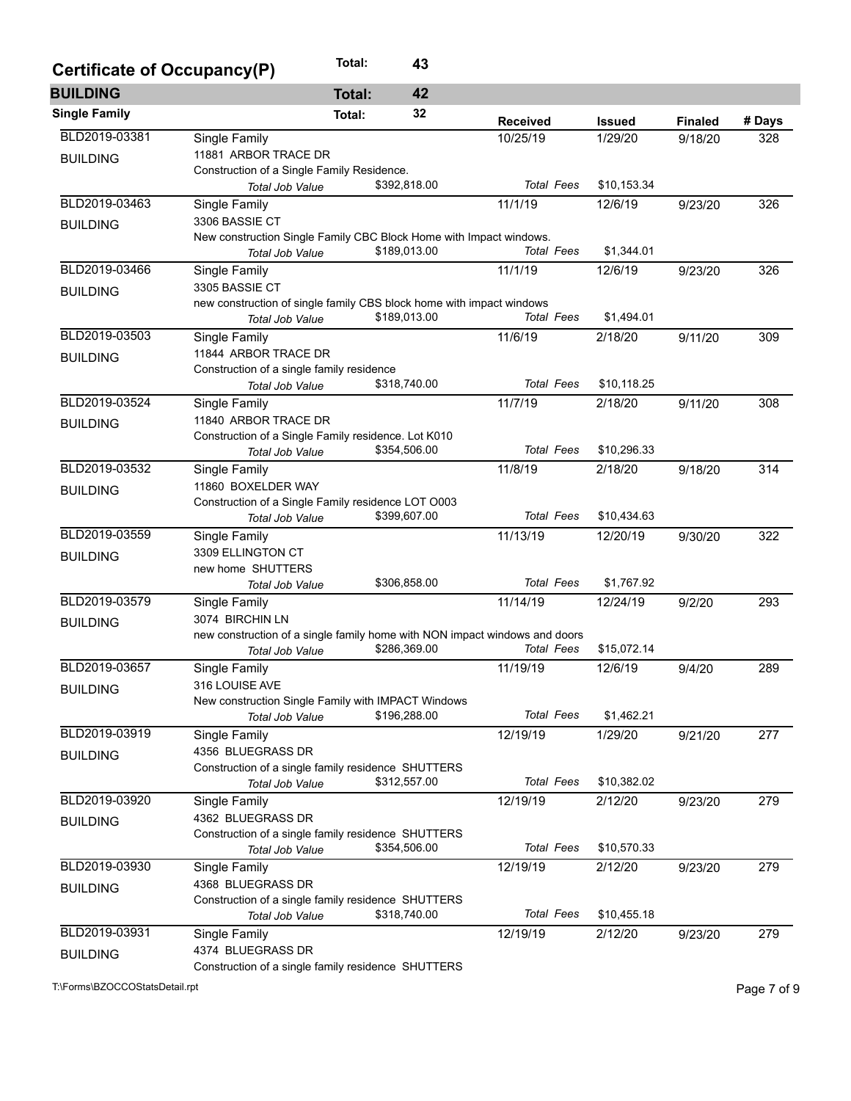| Certificate of Occupancy(P) |                                                                            | Total:        | 43           |                   |               |                |        |  |
|-----------------------------|----------------------------------------------------------------------------|---------------|--------------|-------------------|---------------|----------------|--------|--|
| <b>BUILDING</b>             |                                                                            | <b>Total:</b> | 42           |                   |               |                |        |  |
| <b>Single Family</b>        |                                                                            | Total:        | 32           | <b>Received</b>   | <b>Issued</b> | <b>Finaled</b> | # Days |  |
| BLD2019-03381               | Single Family                                                              |               |              | 10/25/19          | 1/29/20       | 9/18/20        | 328    |  |
| <b>BUILDING</b>             | 11881 ARBOR TRACE DR                                                       |               |              |                   |               |                |        |  |
|                             | Construction of a Single Family Residence.                                 |               |              |                   |               |                |        |  |
|                             | Total Job Value                                                            |               | \$392,818.00 | <b>Total Fees</b> | \$10,153.34   |                |        |  |
| BLD2019-03463               | Single Family                                                              |               |              | 11/1/19           | 12/6/19       | 9/23/20        | 326    |  |
| <b>BUILDING</b>             | 3306 BASSIE CT                                                             |               |              |                   |               |                |        |  |
|                             | New construction Single Family CBC Block Home with Impact windows.         |               | \$189,013.00 | <b>Total Fees</b> | \$1,344.01    |                |        |  |
| BLD2019-03466               | Total Job Value                                                            |               |              |                   |               |                |        |  |
|                             | Single Family<br>3305 BASSIE CT                                            |               |              | 11/1/19           | 12/6/19       | 9/23/20        | 326    |  |
| <b>BUILDING</b>             | new construction of single family CBS block home with impact windows       |               |              |                   |               |                |        |  |
|                             | Total Job Value                                                            |               | \$189,013.00 | <b>Total Fees</b> | \$1,494.01    |                |        |  |
| BLD2019-03503               | Single Family                                                              |               |              | 11/6/19           | 2/18/20       | 9/11/20        | 309    |  |
|                             | 11844 ARBOR TRACE DR                                                       |               |              |                   |               |                |        |  |
| <b>BUILDING</b>             | Construction of a single family residence                                  |               |              |                   |               |                |        |  |
|                             | Total Job Value                                                            |               | \$318,740.00 | <b>Total Fees</b> | \$10,118.25   |                |        |  |
| BLD2019-03524               | Single Family                                                              |               |              | 11/7/19           | 2/18/20       | 9/11/20        | 308    |  |
|                             | 11840 ARBOR TRACE DR                                                       |               |              |                   |               |                |        |  |
| <b>BUILDING</b>             | Construction of a Single Family residence. Lot K010                        |               |              |                   |               |                |        |  |
|                             | <b>Total Job Value</b>                                                     |               | \$354,506.00 | <b>Total Fees</b> | \$10,296.33   |                |        |  |
| BLD2019-03532               | Single Family                                                              |               |              | 11/8/19           | 2/18/20       | 9/18/20        | 314    |  |
| <b>BUILDING</b>             | 11860 BOXELDER WAY                                                         |               |              |                   |               |                |        |  |
|                             | Construction of a Single Family residence LOT O003                         |               |              |                   |               |                |        |  |
|                             | Total Job Value                                                            |               | \$399,607.00 | <b>Total Fees</b> | \$10,434.63   |                |        |  |
| BLD2019-03559               | Single Family                                                              |               |              | 11/13/19          | 12/20/19      | 9/30/20        | 322    |  |
| <b>BUILDING</b>             | 3309 ELLINGTON CT                                                          |               |              |                   |               |                |        |  |
|                             | new home SHUTTERS                                                          |               |              |                   |               |                |        |  |
|                             | Total Job Value                                                            |               | \$306,858.00 | <b>Total Fees</b> | \$1,767.92    |                |        |  |
| BLD2019-03579               | <b>Single Family</b>                                                       |               |              | 11/14/19          | 12/24/19      | 9/2/20         | 293    |  |
| <b>BUILDING</b>             | 3074 BIRCHIN LN                                                            |               |              |                   |               |                |        |  |
|                             | new construction of a single family home with NON impact windows and doors |               |              |                   |               |                |        |  |
|                             | Total Job Value                                                            |               | \$286,369.00 | <b>Total Fees</b> | \$15,072.14   |                |        |  |
| BLD2019-03657               | Single Family                                                              |               |              | 11/19/19          | 12/6/19       | 9/4/20         | 289    |  |
| <b>BUILDING</b>             | 316 LOUISE AVE                                                             |               |              |                   |               |                |        |  |
|                             | New construction Single Family with IMPACT Windows                         |               |              |                   |               |                |        |  |
|                             | Total Job Value                                                            |               | \$196,288.00 | <b>Total Fees</b> | \$1,462.21    |                |        |  |
| BLD2019-03919               | Single Family                                                              |               |              | 12/19/19          | 1/29/20       | 9/21/20        | 277    |  |
| <b>BUILDING</b>             | 4356 BLUEGRASS DR                                                          |               |              |                   |               |                |        |  |
|                             | Construction of a single family residence SHUTTERS                         |               | \$312,557.00 | <b>Total Fees</b> | \$10,382.02   |                |        |  |
| BLD2019-03920               | Total Job Value                                                            |               |              |                   |               |                |        |  |
|                             | Single Family                                                              |               |              | 12/19/19          | 2/12/20       | 9/23/20        | 279    |  |
| <b>BUILDING</b>             | 4362 BLUEGRASS DR                                                          |               |              |                   |               |                |        |  |
|                             | Construction of a single family residence SHUTTERS<br>Total Job Value      |               | \$354,506.00 | <b>Total Fees</b> | \$10,570.33   |                |        |  |
| BLD2019-03930               | Single Family                                                              |               |              | 12/19/19          | 2/12/20       | 9/23/20        | 279    |  |
|                             | 4368 BLUEGRASS DR                                                          |               |              |                   |               |                |        |  |
| <b>BUILDING</b>             | Construction of a single family residence SHUTTERS                         |               |              |                   |               |                |        |  |
|                             | Total Job Value                                                            |               | \$318,740.00 | <b>Total Fees</b> | \$10,455.18   |                |        |  |
| BLD2019-03931               | Single Family                                                              |               |              | 12/19/19          | 2/12/20       | 9/23/20        | 279    |  |
|                             | 4374 BLUEGRASS DR                                                          |               |              |                   |               |                |        |  |
| <b>BUILDING</b>             | Construction of a single family residence SHUTTERS                         |               |              |                   |               |                |        |  |
|                             |                                                                            |               |              |                   |               |                |        |  |

T:\Forms\BZOCCOStatsDetail.rpt Page 7 of 9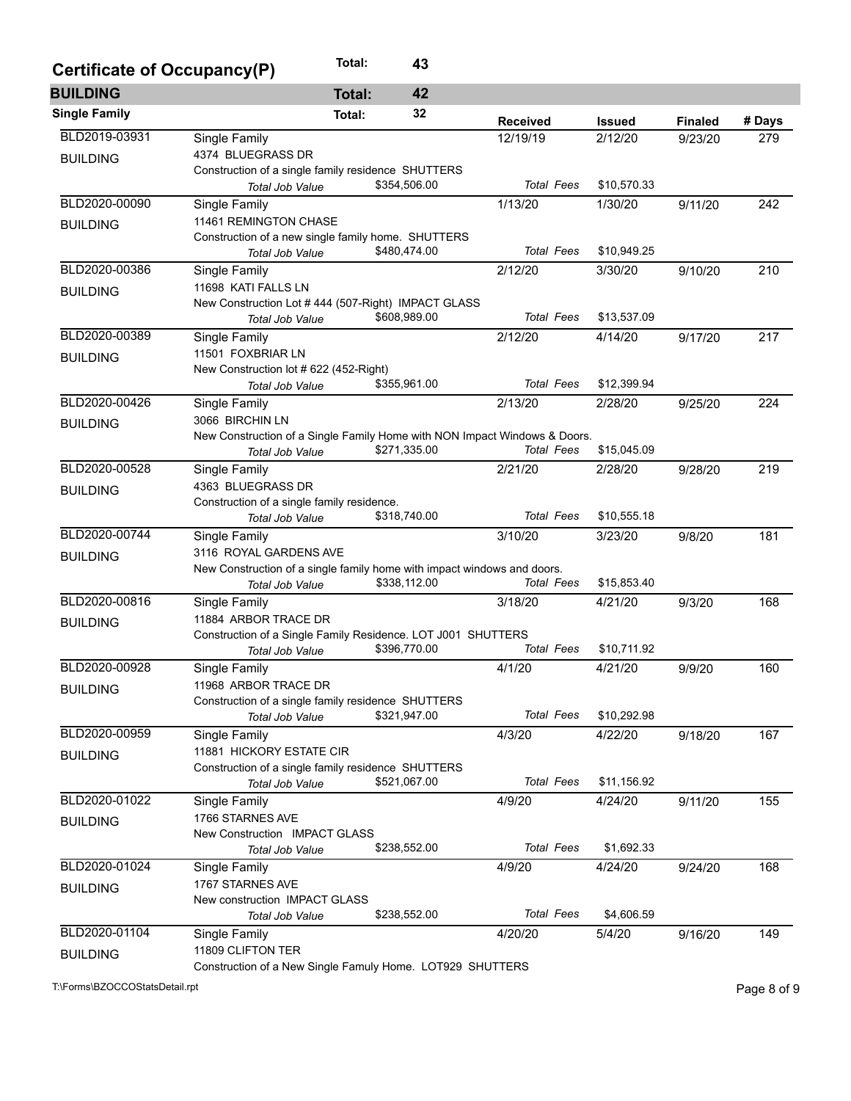| Certificate of Occupancy(P) |                                                                           | Total:        | 43           |                   |               |                |        |  |  |  |
|-----------------------------|---------------------------------------------------------------------------|---------------|--------------|-------------------|---------------|----------------|--------|--|--|--|
| <b>BUILDING</b>             |                                                                           | <b>Total:</b> | 42           |                   |               |                |        |  |  |  |
| <b>Single Family</b>        |                                                                           | Total:        | 32           | <b>Received</b>   | <b>Issued</b> | <b>Finaled</b> | # Days |  |  |  |
| BLD2019-03931               | Single Family                                                             |               |              | 12/19/19          | 2/12/20       | 9/23/20        | 279    |  |  |  |
| <b>BUILDING</b>             | 4374 BLUEGRASS DR                                                         |               |              |                   |               |                |        |  |  |  |
|                             | Construction of a single family residence SHUTTERS                        |               |              |                   |               |                |        |  |  |  |
|                             | Total Job Value                                                           |               | \$354,506.00 | <b>Total Fees</b> | \$10,570.33   |                |        |  |  |  |
| BLD2020-00090               | Single Family                                                             |               |              | 1/13/20           | 1/30/20       | 9/11/20        | 242    |  |  |  |
| <b>BUILDING</b>             | 11461 REMINGTON CHASE                                                     |               |              |                   |               |                |        |  |  |  |
|                             | Construction of a new single family home. SHUTTERS<br>Total Job Value     |               | \$480,474.00 | <b>Total Fees</b> | \$10,949.25   |                |        |  |  |  |
| BLD2020-00386               | Single Family                                                             |               |              | 2/12/20           | 3/30/20       | 9/10/20        | 210    |  |  |  |
|                             | 11698 KATI FALLS LN                                                       |               |              |                   |               |                |        |  |  |  |
| <b>BUILDING</b>             | New Construction Lot #444 (507-Right) IMPACT GLASS                        |               |              |                   |               |                |        |  |  |  |
|                             | Total Job Value                                                           |               | \$608,989.00 | <b>Total Fees</b> | \$13,537.09   |                |        |  |  |  |
| BLD2020-00389               | Single Family                                                             |               |              | 2/12/20           | 4/14/20       | 9/17/20        | 217    |  |  |  |
| <b>BUILDING</b>             | 11501 FOXBRIAR LN                                                         |               |              |                   |               |                |        |  |  |  |
|                             | New Construction lot # 622 (452-Right)                                    |               |              |                   |               |                |        |  |  |  |
|                             | Total Job Value                                                           |               | \$355,961.00 | <b>Total Fees</b> | \$12,399.94   |                |        |  |  |  |
| BLD2020-00426               | Single Family                                                             |               |              | 2/13/20           | 2/28/20       | 9/25/20        | 224    |  |  |  |
| <b>BUILDING</b>             | 3066 BIRCHIN LN                                                           |               |              |                   |               |                |        |  |  |  |
|                             | New Construction of a Single Family Home with NON Impact Windows & Doors. |               |              |                   |               |                |        |  |  |  |
|                             | <b>Total Job Value</b>                                                    |               | \$271,335.00 | <b>Total Fees</b> | \$15,045.09   |                |        |  |  |  |
| BLD2020-00528               | Single Family                                                             |               |              | 2/21/20           | 2/28/20       | 9/28/20        | 219    |  |  |  |
| <b>BUILDING</b>             | 4363 BLUEGRASS DR                                                         |               |              |                   |               |                |        |  |  |  |
|                             | Construction of a single family residence.                                |               | \$318,740.00 | <b>Total Fees</b> | \$10,555.18   |                |        |  |  |  |
|                             | Total Job Value                                                           |               |              |                   |               |                |        |  |  |  |
| BLD2020-00744               | Single Family<br>3116 ROYAL GARDENS AVE                                   |               |              | 3/10/20           | 3/23/20       | 9/8/20         | 181    |  |  |  |
| <b>BUILDING</b>             | New Construction of a single family home with impact windows and doors.   |               |              |                   |               |                |        |  |  |  |
|                             | Total Job Value                                                           |               | \$338,112.00 | <b>Total Fees</b> | \$15,853.40   |                |        |  |  |  |
| BLD2020-00816               | Single Family                                                             |               |              | 3/18/20           | 4/21/20       | 9/3/20         | 168    |  |  |  |
| <b>BUILDING</b>             | 11884 ARBOR TRACE DR                                                      |               |              |                   |               |                |        |  |  |  |
|                             | Construction of a Single Family Residence. LOT J001 SHUTTERS              |               |              |                   |               |                |        |  |  |  |
|                             | Total Job Value                                                           |               | \$396,770.00 | Total Fees        | \$10,711.92   |                |        |  |  |  |
| BLD2020-00928               | Single Family                                                             |               |              | 4/1/20            | 4/21/20       | 9/9/20         | 160    |  |  |  |
| <b>BUILDING</b>             | 11968 ARBOR TRACE DR                                                      |               |              |                   |               |                |        |  |  |  |
|                             | Construction of a single family residence SHUTTERS                        |               |              |                   |               |                |        |  |  |  |
|                             | Total Job Value                                                           |               | \$321,947.00 | <b>Total Fees</b> | \$10,292.98   |                |        |  |  |  |
| BLD2020-00959               | Single Family                                                             |               |              | 4/3/20            | 4/22/20       | 9/18/20        | 167    |  |  |  |
| <b>BUILDING</b>             | 11881 HICKORY ESTATE CIR                                                  |               |              |                   |               |                |        |  |  |  |
|                             | Construction of a single family residence SHUTTERS                        |               | \$521,067.00 | <b>Total Fees</b> | \$11,156.92   |                |        |  |  |  |
| BLD2020-01022               | Total Job Value                                                           |               |              |                   |               |                |        |  |  |  |
|                             | Single Family                                                             |               |              | 4/9/20            | 4/24/20       | 9/11/20        | 155    |  |  |  |
| <b>BUILDING</b>             | 1766 STARNES AVE<br>New Construction IMPACT GLASS                         |               |              |                   |               |                |        |  |  |  |
|                             | Total Job Value                                                           |               | \$238,552.00 | <b>Total Fees</b> | \$1,692.33    |                |        |  |  |  |
| BLD2020-01024               | Single Family                                                             |               |              | 4/9/20            | 4/24/20       | 9/24/20        | 168    |  |  |  |
|                             | 1767 STARNES AVE                                                          |               |              |                   |               |                |        |  |  |  |
| <b>BUILDING</b>             | New construction IMPACT GLASS                                             |               |              |                   |               |                |        |  |  |  |
|                             | Total Job Value                                                           |               | \$238,552.00 | <b>Total Fees</b> | \$4,606.59    |                |        |  |  |  |
| BLD2020-01104               | Single Family                                                             |               |              | 4/20/20           | 5/4/20        | 9/16/20        | 149    |  |  |  |
| <b>BUILDING</b>             | 11809 CLIFTON TER                                                         |               |              |                   |               |                |        |  |  |  |
|                             | Construction of a New Single Famuly Home. LOT929 SHUTTERS                 |               |              |                   |               |                |        |  |  |  |

T:\Forms\BZOCCOStatsDetail.rpt Page 8 of 9